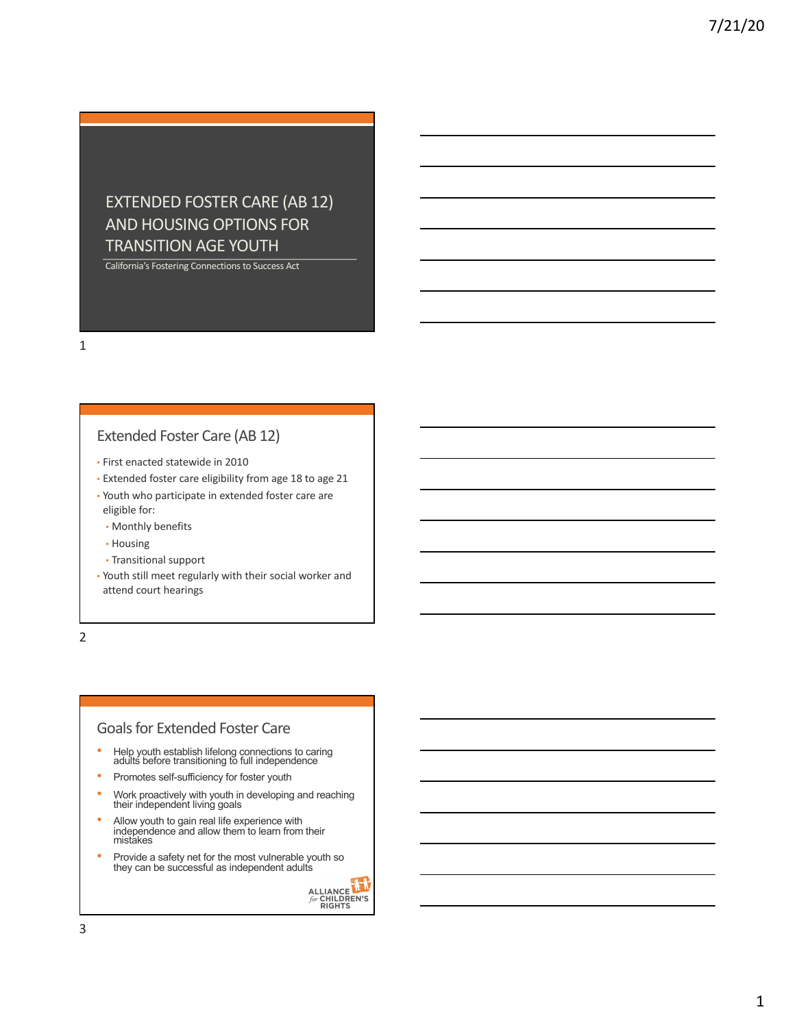# EXTENDED FOSTER CARE (AB 12) AND HOUSING OPTIONS FOR TRANSITION AGE YOUTH

California's Fostering Connections to Success Act

1

### Extended Foster Care (AB 12)

- First enacted statewide in 2010
- Extended foster care eligibility from age 18 to age 21
- Youth who participate in extended foster care are eligible for:
	- Monthly benefits
	- Housing
	- Transitional support
- Youth still meet regularly with their social worker and attend court hearings

2

#### Goals for Extended Foster Care

- Help youth establish lifelong connections to caring adults before transitioning to full independence
- Promotes self-sufficiency for foster youth
- Work proactively with youth in developing and reaching their independent living goals
- Allow youth to gain real life experience with independence and allow them to learn from their mistakes
- Provide a safety net for the most vulnerable youth so they can be successful as independent adults

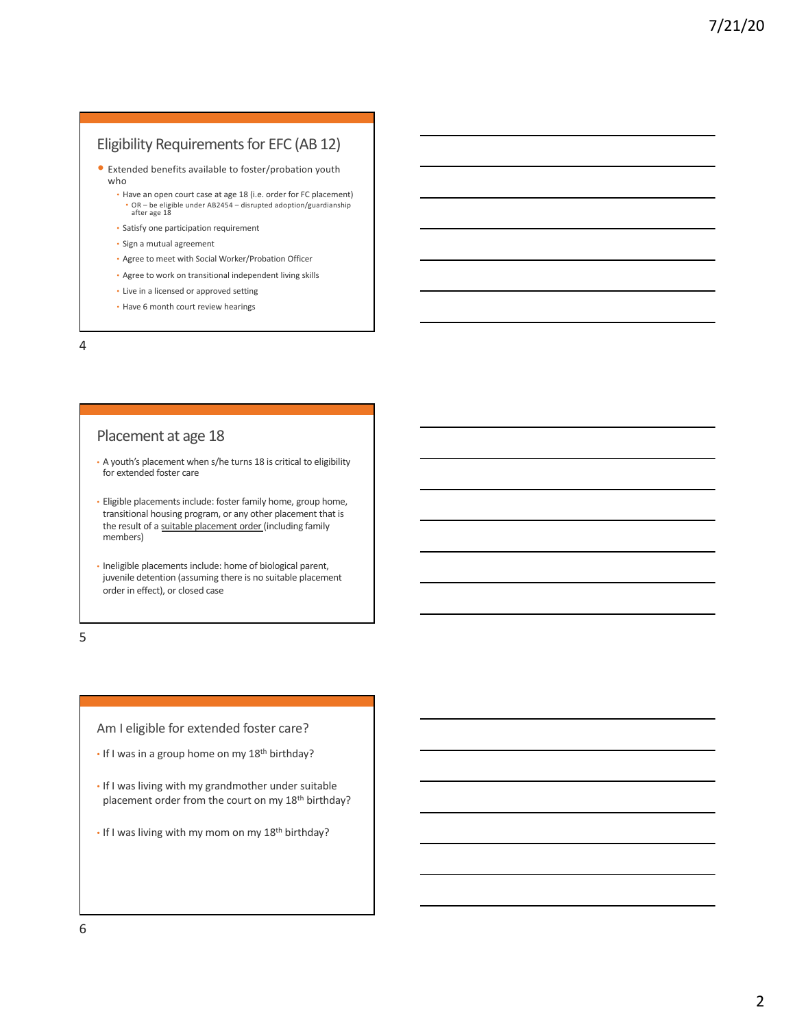## Eligibility Requirements for EFC (AB 12)

- Extended benefits available to foster/probation youth who
	- Have an open court case at age 18 (i.e. order for FC placement) • OR – be eligible under AB2454 – disrupted adoption/guardianship after age 18
	- Satisfy one participation requirement
	- Sign a mutual agreement
	- Agree to meet with Social Worker/Probation Officer
	- Agree to work on transitional independent living skills
	- Live in a licensed or approved setting
	- Have 6 month court review hearings

4

#### Placement at age 18

- A youth's placement when s/he turns 18 is critical to eligibility for extended foster care
- Eligible placements include: foster family home, group home, transitional housing program, or any other placement that is the result of a suitable placement order (including family members)
- Ineligible placements include: home of biological parent, juvenile detention (assuming there is no suitable placement order in effect), or closed case

5

Am I eligible for extended foster care?

- $\cdot$  If I was in a group home on my 18<sup>th</sup> birthday?
- If I was living with my grandmother under suitable placement order from the court on my 18<sup>th</sup> birthday?
- If I was living with my mom on my 18<sup>th</sup> birthday?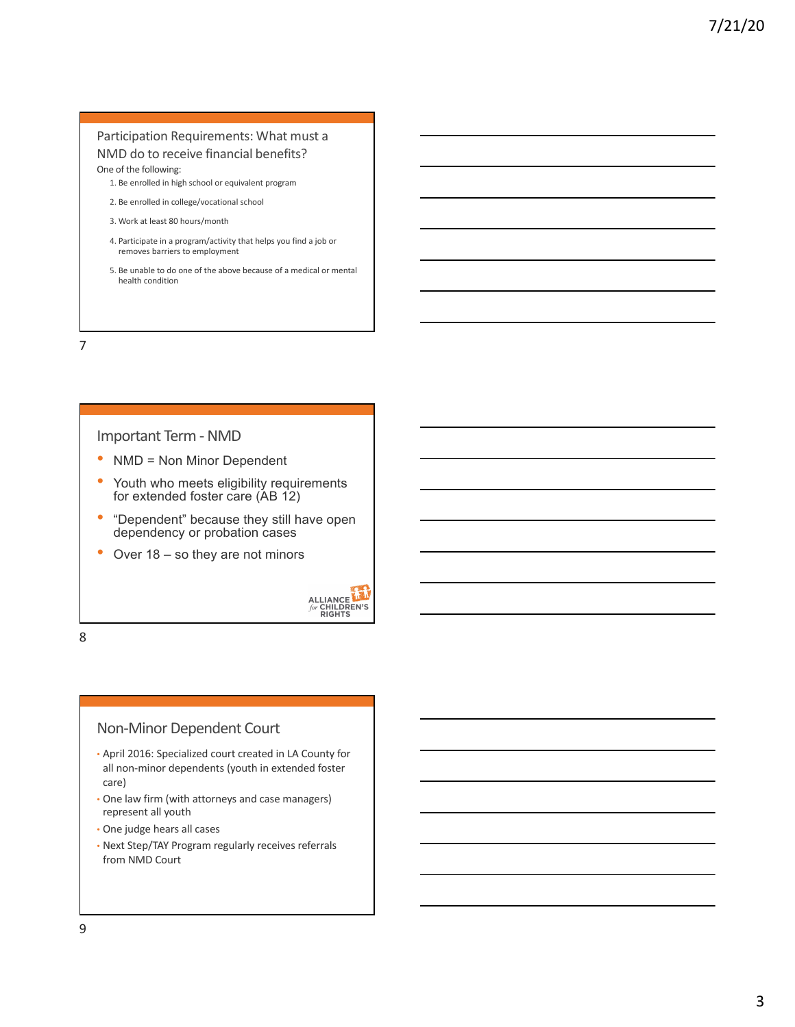#### Participation Requirements: What must a NMD do to receive financial benefits? One of the following:

- 1. Be enrolled in high school or equivalent program
- 2. Be enrolled in college/vocational school
- 3. Work at least 80 hours/month
- 4. Participate in a program/activity that helps you find a job or removes barriers to employment
- 5. Be unable to do one of the above because of a medical or mental health condition

#### 7

#### Important Term - NMD

- NMD = Non Minor Dependent
- Youth who meets eligibility requirements for extended foster care (AB 12)
- "Dependent" because they still have open dependency or probation cases
- Over 18 so they are not minors



8

## Non-Minor Dependent Court

- April 2016: Specialized court created in LA County for all non-minor dependents (youth in extended foster care)
- One law firm (with attorneys and case managers) represent all youth
- One judge hears all cases
- Next Step/TAY Program regularly receives referrals from NMD Court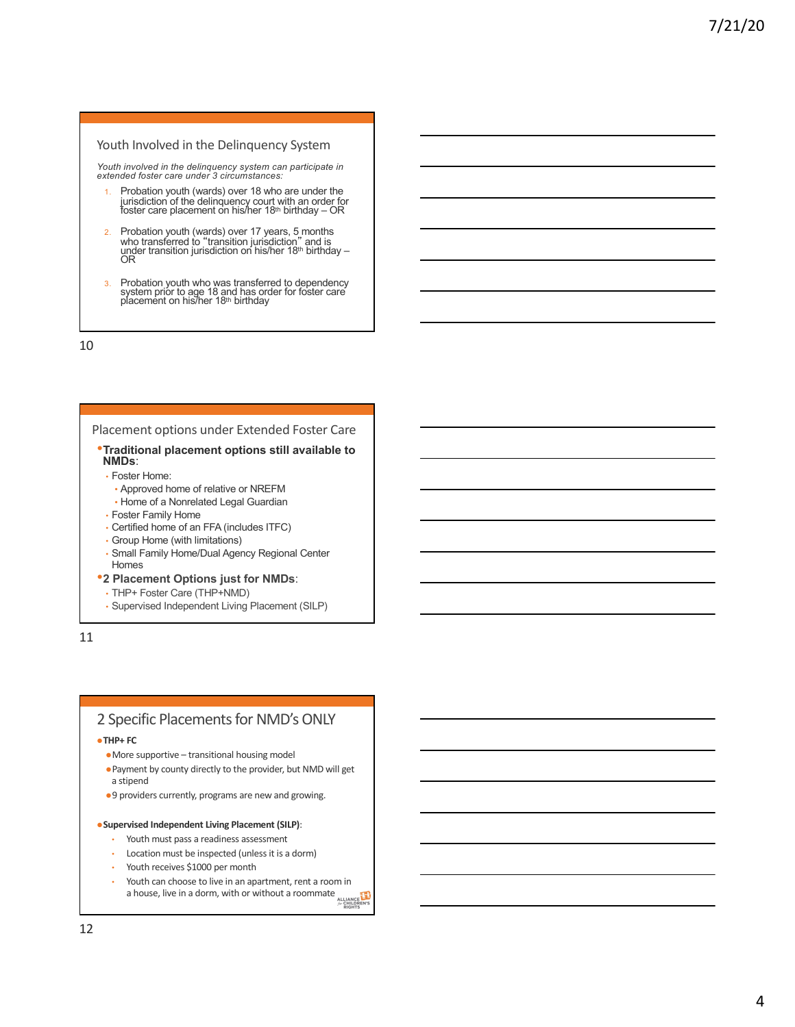#### Youth Involved in the Delinquency System

*Youth involved in the delinquency system can participate in extended foster care under 3 circumstances:*

- Probation youth (wards) over 18 who are under the jurisdiction of the delinquency court with an order for<br>foster care placement on his/her 18<sup>th</sup> birthday – OR
- 2. Probation youth (wards) over 17 years, 5 months who transferred to "transition jurisdiction" and is under transition jurisdiction on his/her 18th birthday OR
- 3. Probation youth who was transferred to dependency system prior to age 18 and has order for foster care placement on his/her 18th birthday

10

#### Placement options under Extended Foster Care

- •**Traditional placement options still available to NMDs**:
	- Foster Home:
	- Approved home of relative or NREFM
	- Home of a Nonrelated Legal Guardian
	- Foster Family Home
	- Certified home of an FFA (includes ITFC)
	- Group Home (with limitations)
	- Small Family Home/Dual Agency Regional Center Homes

#### •**2 Placement Options just for NMDs**:

- THP+ Foster Care (THP+NMD)
- Supervised Independent Living Placement (SILP)

11

## 2 Specific Placements for NMD's ONLY

 $\bullet$  **THP+ FC** 

- $\bullet$  More supportive transitional housing model
- lPayment by county directly to the provider, but NMD will get a stipend
- ●9 providers currently, programs are new and growing.

#### **Supervised Independent Living Placement (SILP):**

- Youth must pass a readiness assessment
- Location must be inspected (unless it is a dorm)
- Youth receives \$1000 per month
- Youth can choose to live in an apartment, rent a room in Youth can choose to live in an applied site of a house, live in a dorm, with or without a roommate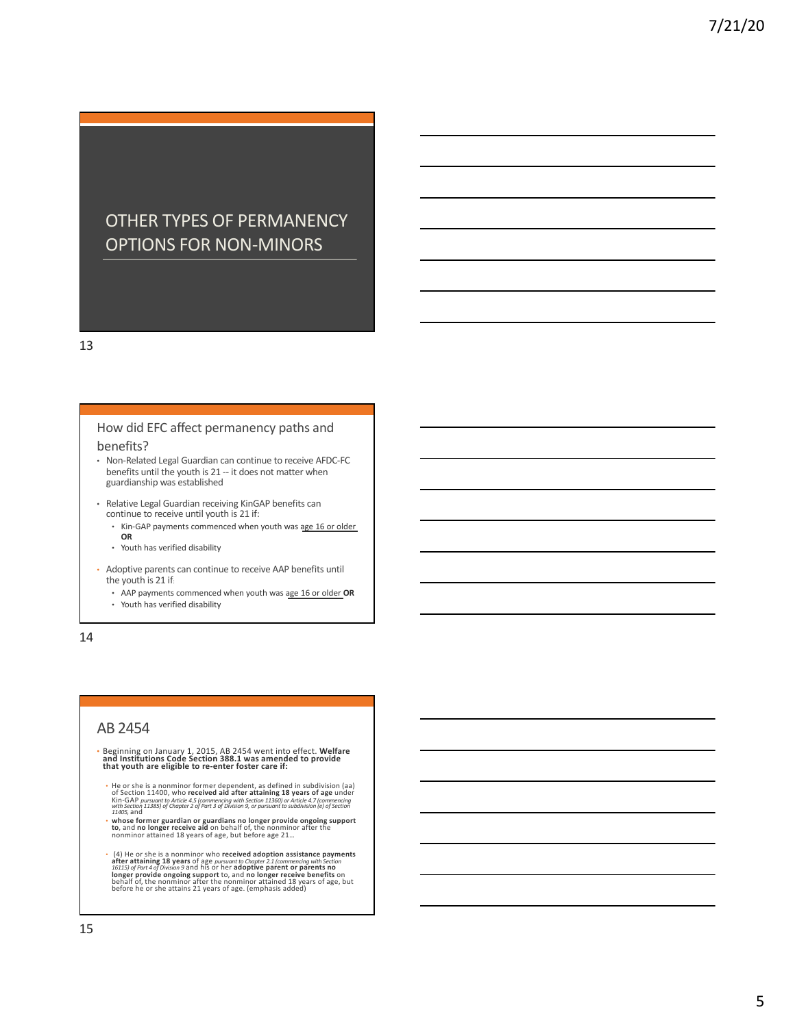# OTHER TYPES OF PERMANENCY OPTIONS FOR NON-MINORS

13

#### How did EFC affect permanency paths and benefits?

- Non-Related Legal Guardian can continue to receive AFDC-FC benefits until the youth is 21 -- it does not matter when guardianship was established
- Relative Legal Guardian receiving KinGAP benefits can continue to receive until youth is 21 if:
	- Kin-GAP payments commenced when youth was age 16 or older **OR**
	- Youth has verified disability
- Adoptive parents can continue to receive AAP benefits until the youth is 21 if:
	- AAP payments commenced when youth was age 16 or older **OR** • Youth has verified disability

14

#### AB 2454

- Beginning on January 1, 2015, AB 2454 went into effect. **Welfare and Institutions Code Section 388.1 was amended to provide that youth are eligible to re-enter foster care if:**
- He or she is a nonminor former dependent, as defined in subdivision (aa)<br>of Section 11400, who received aid after attaining 18 years of age under<br>Kin-GAP pursuant to Article 4.5 (commencing with section 11360) or Article *11405,* and
- **whose former guardian or guardians no longer provide ongoing support to**, and **no longer receive aid** on behalf of, the nonminor after the nonminor attained 18 years of age, but before age 21…
- (4) He or she is a nonminor who **received adoption assistance payments**<br>after attaining 18 years of age pursuant to Chopter 2.1 (commencing with Section<br>16115) of Port 4 of Division 9 and his or her adoptive parent or pa **longer provide ongoing support** to, and **no longer receive benefits** on<br>behalf of, the nonminor after the nonminor attained 18 years of age, but<br>before he or she attains 21 years of age. (emphasis added)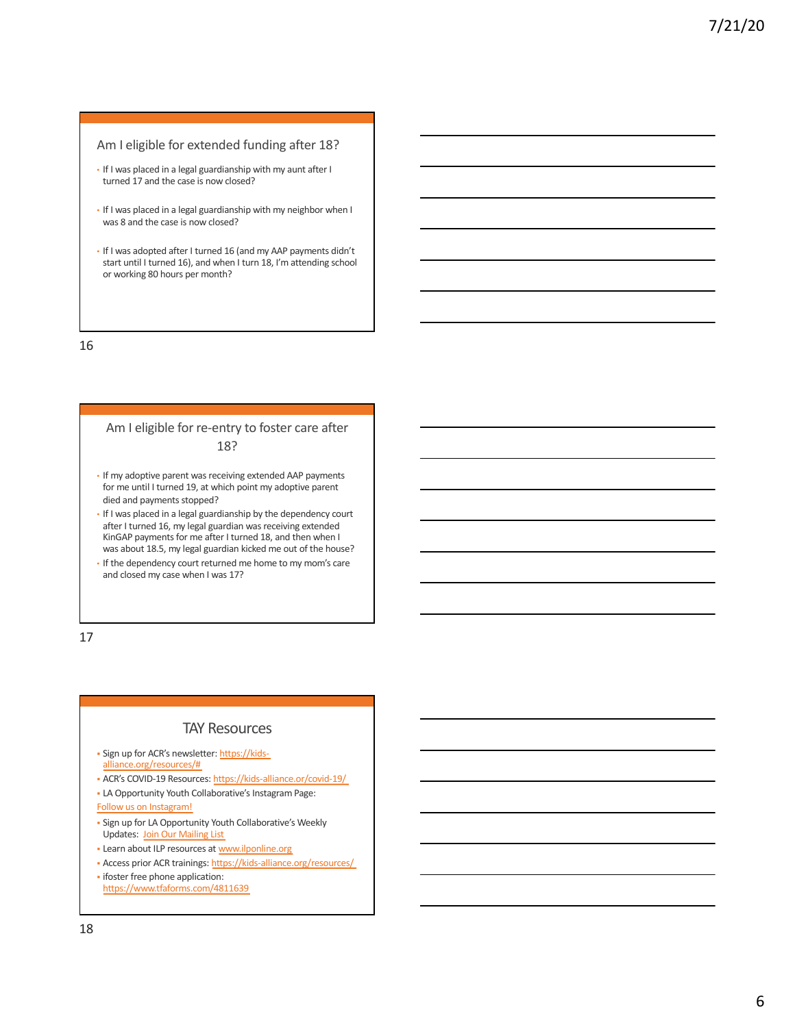#### Am I eligible for extended funding after 18?

- If I was placed in a legal guardianship with my aunt after I turned 17 and the case is now closed?
- If I was placed in a legal guardianship with my neighbor when I was 8 and the case is now closed?
- If I was adopted after I turned 16 (and my AAP payments didn't start until I turned 16), and when I turn 18, I'm attending school or working 80 hours per month?

16

#### Am I eligible for re-entry to foster care after 18?

- If my adoptive parent was receiving extended AAP payments for me until I turned 19, at which point my adoptive parent died and payments stopped?
- If I was placed in a legal guardianship by the dependency court after I turned 16, my legal guardian was receiving extended KinGAP payments for me after I turned 18, and then when I was about 18.5, my legal guardian kicked me out of the house?
- If the dependency court returned me home to my mom's care and closed my case when I was 17?

17

#### TAY Resources

- § Sign up for ACR's newsletter: https://kids[alliance.org/resources/](https://kids-alliance.org/resources/)#
- § ACR's C[OVID-19 Resources: https://kids-all](https://kids-alliance.or/covid-10/)iance.or/covid-19/
- § LA Opportunity Youth Collaborative's Instagram Page: [Follo](https://www.instagram.com/la_oyc/)w us on Instagram!
- § Sign up for LA Opportunity Youth Collaborative's Weekly [Updates: Jo](https://us9.campaign-archive.com/home/%3Fu=3e1457f9b933527f726361a7c&id=64c74b1d7f)in Our Mailing List
- § Learn ab[out ILP resources at](http://www.ilponline.org/) www.ilponline.org
- § Access [prior ACR trainings: https://kids-allian](https://kids-alliance.org/resources/)ce.org/resources/
- **ifoster free phone application:** [https://www.tfafo](https://www.tfaforms.com/4811639)rms.com/4811639